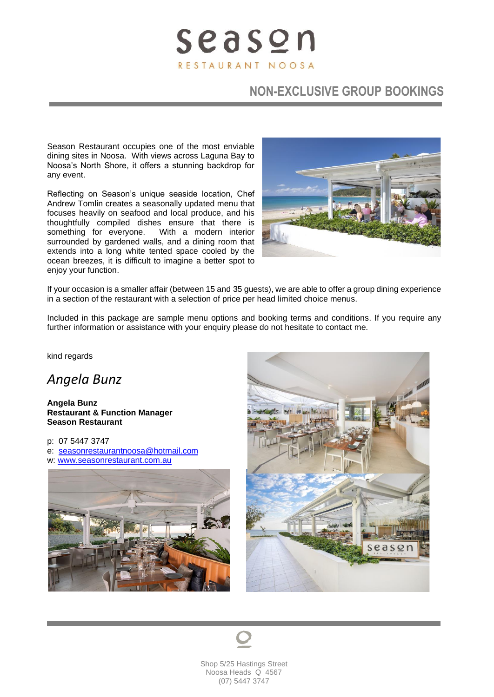# **NON-EXCLUSIVE GROUP BOOKINGS**

Season Restaurant occupies one of the most enviable dining sites in Noosa. With views across Laguna Bay to Noosa's North Shore, it offers a stunning backdrop for any event.

Reflecting on Season's unique seaside location, Chef Andrew Tomlin creates a seasonally updated menu that focuses heavily on seafood and local produce, and his thoughtfully compiled dishes ensure that there is something for everyone. With a modern interior surrounded by gardened walls, and a dining room that extends into a long white tented space cooled by the ocean breezes, it is difficult to imagine a better spot to enjoy your function.



If your occasion is a smaller affair (between 15 and 35 guests), we are able to offer a group dining experience in a section of the restaurant with a selection of price per head limited choice menus.

Included in this package are sample menu options and booking terms and conditions. If you require any further information or assistance with your enquiry please do not hesitate to contact me.

kind regards

*Angela Bunz*

**Angela Bunz Restaurant & Function Manager Season Restaurant**

p: 07 5447 3747 e: [seasonrestaurantnoosa@hotmail.com](mailto:seasonrestaurantnoosa@hotmail.com) w: [www.seasonrestaurant.com.au](http://www.seasonrestaurant.com.au/)





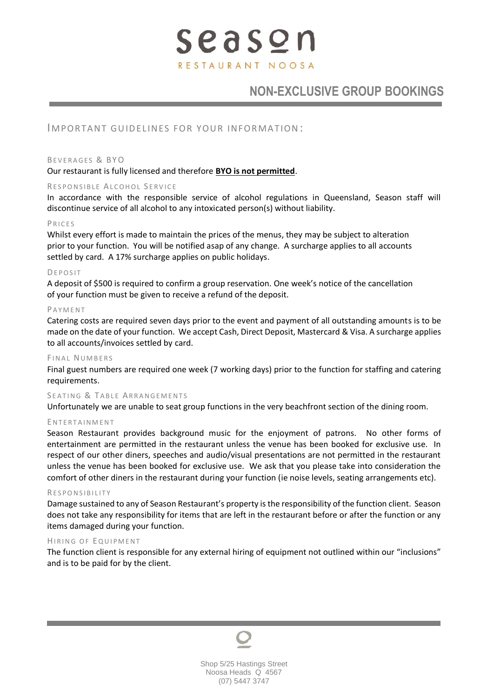# **NON-EXCLUSIVE GROUP BOOKINGS**

### IMPORTANT GUIDELINES FOR YOUR INFORMATION:

#### BEVERAGES & BYO

#### Our restaurant is fully licensed and therefore **BYO is not permitted**.

#### RESPONSIBLE ALCOHOL SERVICE

In accordance with the responsible service of alcohol regulations in Queensland, Season staff will discontinue service of all alcohol to any intoxicated person(s) without liability.

#### P R I C E S

Whilst every effort is made to maintain the prices of the menus, they may be subject to alteration prior to your function. You will be notified asap of any change. A surcharge applies to all accounts settled by card. A 17% surcharge applies on public holidays.

#### **DEPOSIT**

A deposit of \$500 is required to confirm a group reservation. One week's notice of the cancellation of your function must be given to receive a refund of the deposit.

#### **PAYMENT**

Catering costs are required seven days prior to the event and payment of all outstanding amounts is to be made on the date of your function. We accept Cash, Direct Deposit, Mastercard & Visa. A surcharge applies to all accounts/invoices settled by card.

#### FINAL NUMBERS

Final guest numbers are required one week (7 working days) prior to the function for staffing and catering requirements.

#### SFATING & TABLE ARRANGEMENTS

Unfortunately we are unable to seat group functions in the very beachfront section of the dining room.

#### ENTERTAINMENT

Season Restaurant provides background music for the enjoyment of patrons. No other forms of entertainment are permitted in the restaurant unless the venue has been booked for exclusive use. In respect of our other diners, speeches and audio/visual presentations are not permitted in the restaurant unless the venue has been booked for exclusive use. We ask that you please take into consideration the comfort of other diners in the restaurant during your function (ie noise levels, seating arrangements etc).

#### **RESPONSIBILITY**

Damage sustained to any of Season Restaurant's property is the responsibility of the function client. Season does not take any responsibility for items that are left in the restaurant before or after the function or any items damaged during your function.

#### HIRING OF EQUIPMENT

The function client is responsible for any external hiring of equipment not outlined within our "inclusions" and is to be paid for by the client.

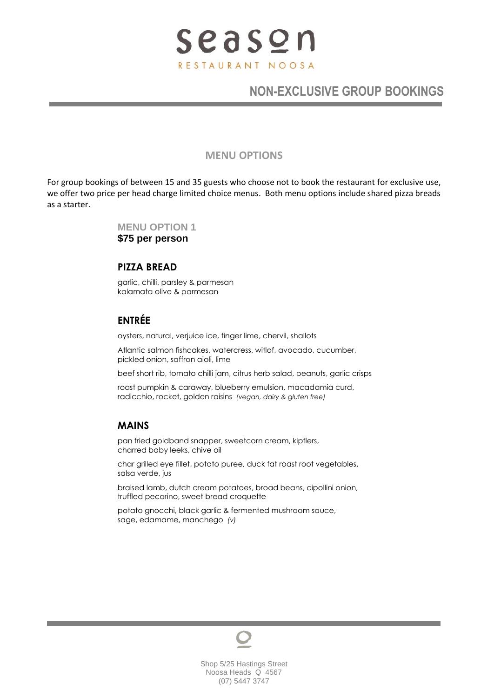# **NON-EXCLUSIVE GROUP BOOKINGS**

#### **MENU OPTIONS**

For group bookings of between 15 and 35 guests who choose not to book the restaurant for exclusive use, we offer two price per head charge limited choice menus. Both menu options include shared pizza breads as a starter.

> **MENU OPTION 1 \$75 per person**

### **PIZZA BREAD**

garlic, chilli, parsley & parmesan kalamata olive & parmesan

## **ENTRÉE**

oysters, natural, verjuice ice, finger lime, chervil, shallots

Atlantic salmon fishcakes, watercress, witlof, avocado, cucumber, pickled onion, saffron aioli, lime

beef short rib, tomato chilli jam, citrus herb salad, peanuts, garlic crisps

roast pumpkin & caraway, blueberry emulsion, macadamia curd, radicchio, rocket, golden raisins *(vegan, dairy & gluten free)*

## **MAINS**

pan fried goldband snapper, sweetcorn cream, kipflers, charred baby leeks, chive oil

char grilled eye fillet, potato puree, duck fat roast root vegetables, salsa verde, jus

braised lamb, dutch cream potatoes, broad beans, cipollini onion, truffled pecorino, sweet bread croquette

potato gnocchi, black garlic & fermented mushroom sauce, sage, edamame, manchego *(v)*

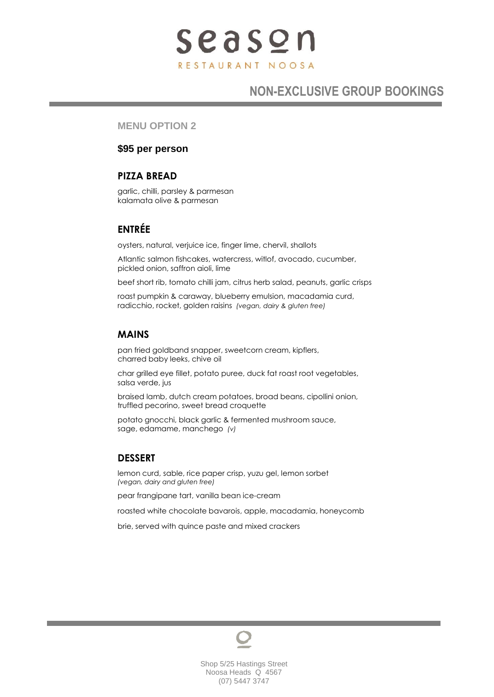# **NON-EXCLUSIVE GROUP BOOKINGS**

#### **MENU OPTION 2**

### **\$95 per person**

## **PIZZA BREAD**

garlic, chilli, parsley & parmesan kalamata olive & parmesan

## **ENTRÉE**

oysters, natural, verjuice ice, finger lime, chervil, shallots

Atlantic salmon fishcakes, watercress, witlof, avocado, cucumber, pickled onion, saffron aioli, lime

beef short rib, tomato chilli jam, citrus herb salad, peanuts, garlic crisps

roast pumpkin & caraway, blueberry emulsion, macadamia curd, radicchio, rocket, golden raisins *(vegan, dairy & gluten free)*

## **MAINS**

pan fried goldband snapper, sweetcorn cream, kipflers, charred baby leeks, chive oil

char grilled eye fillet, potato puree, duck fat roast root vegetables, salsa verde, jus

braised lamb, dutch cream potatoes, broad beans, cipollini onion, truffled pecorino, sweet bread croquette

potato gnocchi, black garlic & fermented mushroom sauce, sage, edamame, manchego *(v)*

## **DESSERT**

lemon curd, sable, rice paper crisp, yuzu gel, lemon sorbet *(vegan, dairy and gluten free)*

pear frangipane tart, vanilla bean ice-cream

roasted white chocolate bavarois, apple, macadamia, honeycomb

brie, served with quince paste and mixed crackers

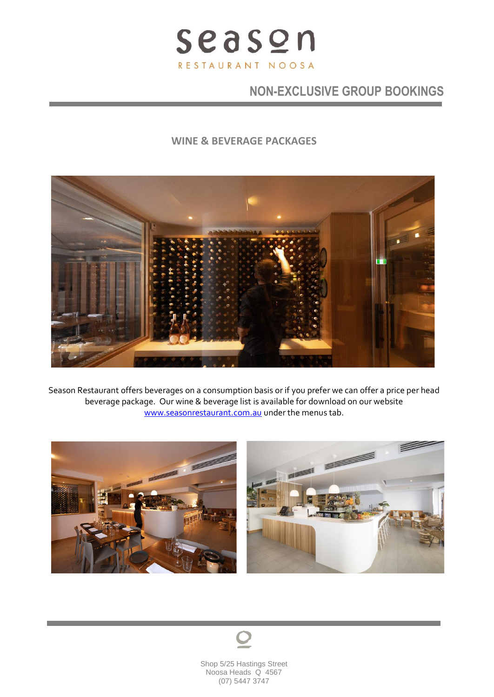

# **NON-EXCLUSIVE GROUP BOOKINGS**

## **WINE & BEVERAGE PACKAGES**



Season Restaurant offers beverages on a consumption basis or if you prefer we can offer a price per head beverage package. Our wine & beverage list is available for download on our website [www.seasonrestaurant.com.au](http://www.seasonrestaurant.com.au/) under the menus tab.